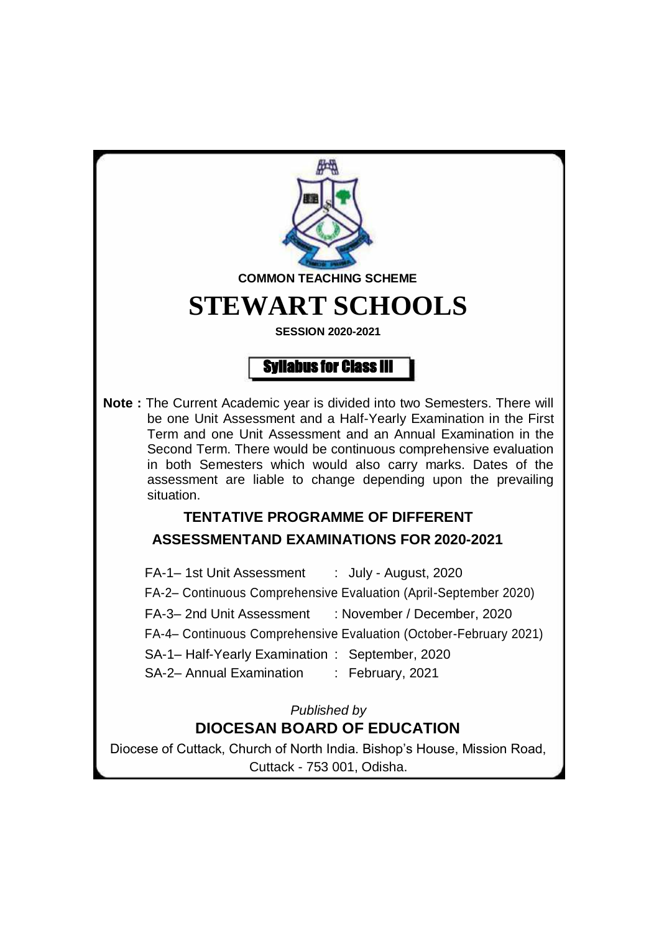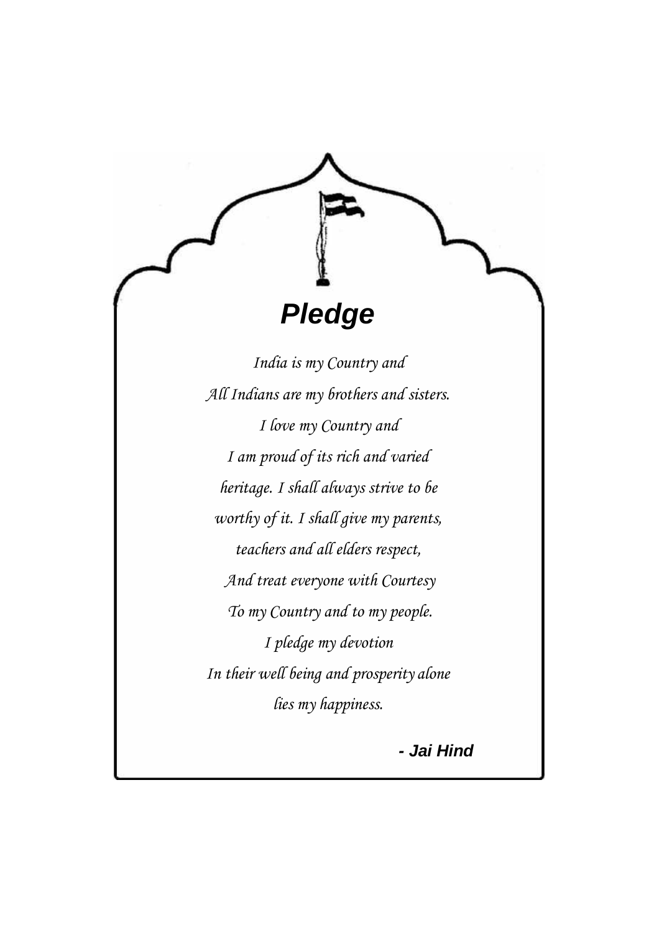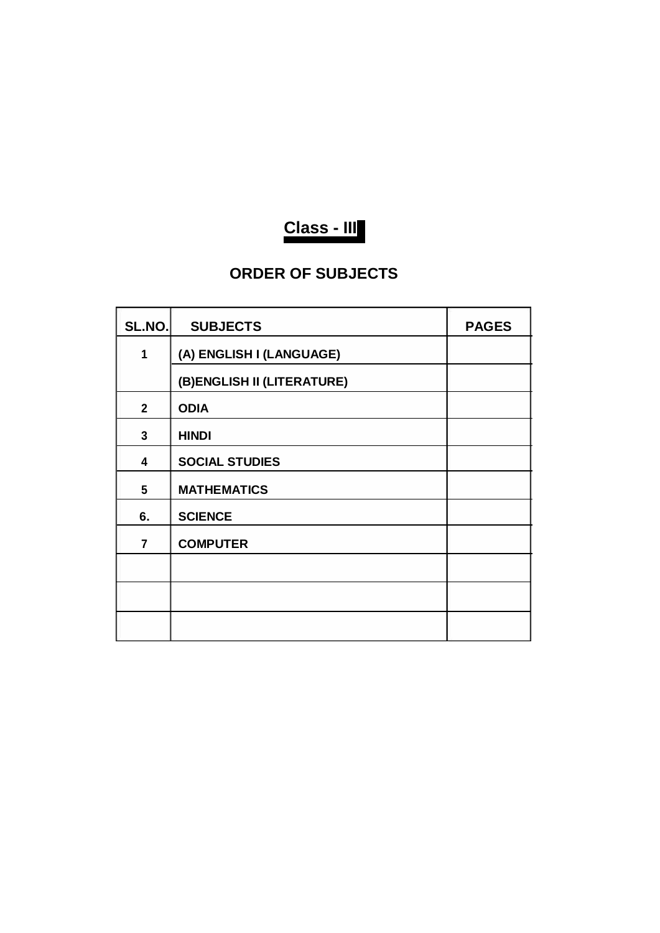

# **ORDER OF SUBJECTS**

| SL.NO.         | <b>SUBJECTS</b>            | <b>PAGES</b> |
|----------------|----------------------------|--------------|
| 1              | (A) ENGLISH I (LANGUAGE)   |              |
|                | (B)ENGLISH II (LITERATURE) |              |
| $\overline{2}$ | <b>ODIA</b>                |              |
| 3              | <b>HINDI</b>               |              |
| 4              | <b>SOCIAL STUDIES</b>      |              |
| 5              | <b>MATHEMATICS</b>         |              |
| 6.             | <b>SCIENCE</b>             |              |
| $\overline{7}$ | <b>COMPUTER</b>            |              |
|                |                            |              |
|                |                            |              |
|                |                            |              |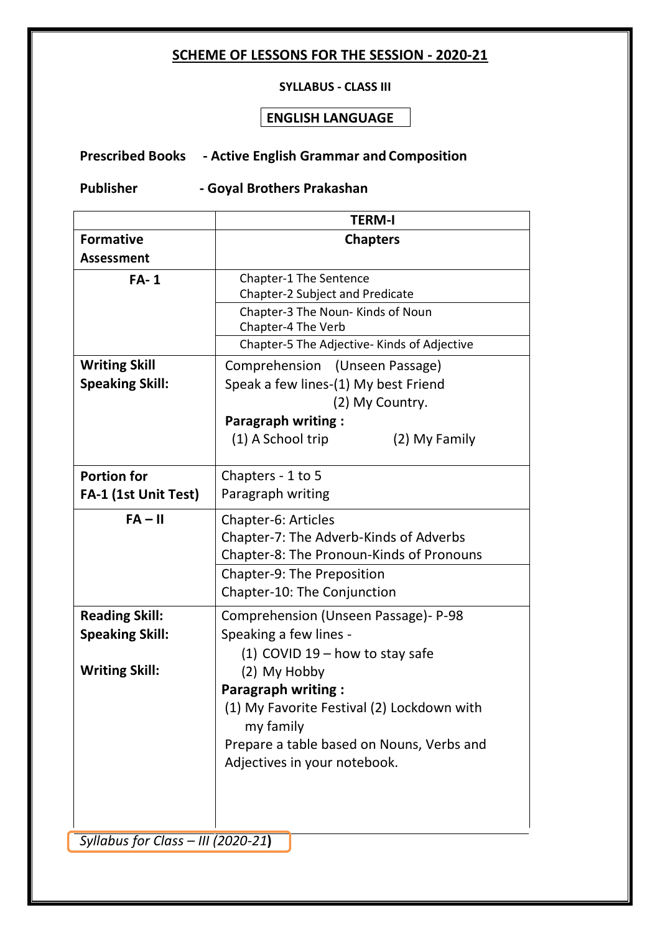### **SCHEME OF LESSONS FOR THE SESSION - 2020-21**

#### **SYLLABUS - CLASS III**

### **ENGLISH LANGUAGE**

# **Prescribed Books - Active English Grammar and Composition**

**Publisher - Goyal Brothers Prakashan**

|                        | <b>TERM-I</b>                               |  |  |
|------------------------|---------------------------------------------|--|--|
| <b>Formative</b>       | <b>Chapters</b>                             |  |  |
| <b>Assessment</b>      |                                             |  |  |
| $FA-1$                 | Chapter-1 The Sentence                      |  |  |
|                        | Chapter-2 Subject and Predicate             |  |  |
|                        | Chapter-3 The Noun- Kinds of Noun           |  |  |
|                        | Chapter-4 The Verb                          |  |  |
|                        | Chapter-5 The Adjective- Kinds of Adjective |  |  |
| <b>Writing Skill</b>   | Comprehension (Unseen Passage)              |  |  |
| <b>Speaking Skill:</b> | Speak a few lines-(1) My best Friend        |  |  |
|                        | (2) My Country.                             |  |  |
|                        | <b>Paragraph writing:</b>                   |  |  |
|                        | (1) A School trip<br>(2) My Family          |  |  |
|                        |                                             |  |  |
| <b>Portion for</b>     | Chapters - 1 to 5                           |  |  |
| FA-1 (1st Unit Test)   | Paragraph writing                           |  |  |
| $FA - II$              | Chapter-6: Articles                         |  |  |
|                        | Chapter-7: The Adverb-Kinds of Adverbs      |  |  |
|                        | Chapter-8: The Pronoun-Kinds of Pronouns    |  |  |
|                        | <b>Chapter-9: The Preposition</b>           |  |  |
|                        | Chapter-10: The Conjunction                 |  |  |
| <b>Reading Skill:</b>  | Comprehension (Unseen Passage) - P-98       |  |  |
| <b>Speaking Skill:</b> | Speaking a few lines -                      |  |  |
|                        | (1) COVID $19$ – how to stay safe           |  |  |
| <b>Writing Skill:</b>  | (2) My Hobby                                |  |  |
|                        | <b>Paragraph writing:</b>                   |  |  |
|                        | (1) My Favorite Festival (2) Lockdown with  |  |  |
|                        | my family                                   |  |  |
|                        | Prepare a table based on Nouns, Verbs and   |  |  |
|                        | Adjectives in your notebook.                |  |  |
|                        |                                             |  |  |
|                        |                                             |  |  |
|                        |                                             |  |  |

*Syllabus for Class – III (2020-21***)**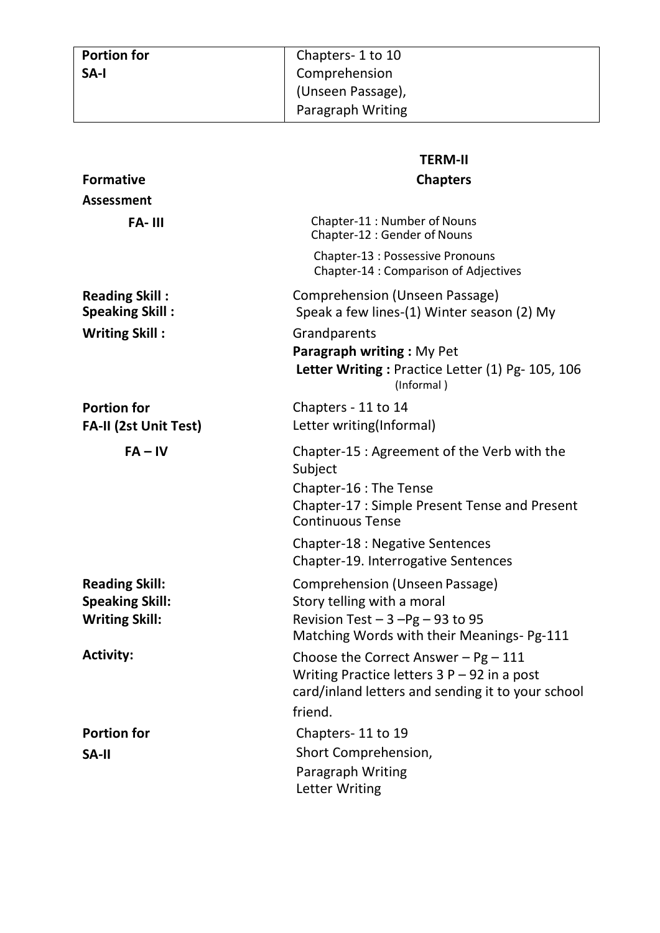|                                                 | <b>TERM-II</b>                                                                                                                                               |
|-------------------------------------------------|--------------------------------------------------------------------------------------------------------------------------------------------------------------|
| <b>Formative</b>                                | <b>Chapters</b>                                                                                                                                              |
| <b>Assessment</b>                               |                                                                                                                                                              |
| FA-III                                          | Chapter-11: Number of Nouns<br>Chapter-12 : Gender of Nouns                                                                                                  |
|                                                 | Chapter-13 : Possessive Pronouns<br>Chapter-14 : Comparison of Adjectives                                                                                    |
| <b>Reading Skill:</b><br><b>Speaking Skill:</b> | Comprehension (Unseen Passage)<br>Speak a few lines-(1) Winter season (2) My                                                                                 |
| <b>Writing Skill:</b>                           | Grandparents<br><b>Paragraph writing: My Pet</b><br>Letter Writing: Practice Letter (1) Pg- 105, 106<br>(Informal)                                           |
| <b>Portion for</b><br>FA-II (2st Unit Test)     | Chapters - 11 to 14<br>Letter writing(Informal)                                                                                                              |
| $FA - IV$                                       | Chapter-15 : Agreement of the Verb with the<br>Subject<br>Chapter-16 : The Tense<br>Chapter-17 : Simple Present Tense and Present<br><b>Continuous Tense</b> |
|                                                 | <b>Chapter-18: Negative Sentences</b><br>Chapter-19. Interrogative Sentences                                                                                 |
| <b>Reading Skill:</b>                           | Comprehension (Unseen Passage)                                                                                                                               |
| <b>Speaking Skill:</b><br><b>Writing Skill:</b> | Story telling with a moral<br>Revision Test $-3 - Pg - 93$ to 95<br>Matching Words with their Meanings- Pg-111                                               |
| <b>Activity:</b>                                | Choose the Correct Answer $-$ Pg $-$ 111<br>Writing Practice letters $3P - 92$ in a post<br>card/inland letters and sending it to your school                |
|                                                 | friend.                                                                                                                                                      |
| <b>Portion for</b>                              | Chapters-11 to 19                                                                                                                                            |
| <b>SA-II</b>                                    | Short Comprehension,<br>Paragraph Writing<br>Letter Writing                                                                                                  |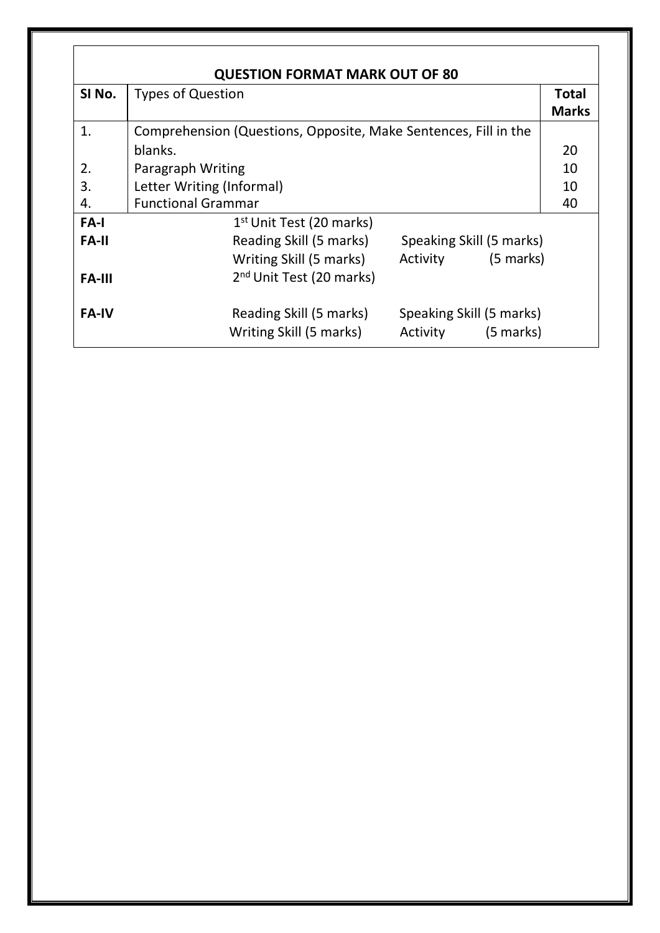| <b>QUESTION FORMAT MARK OUT OF 80</b> |                                                                                                      |                              |  |  |  |
|---------------------------------------|------------------------------------------------------------------------------------------------------|------------------------------|--|--|--|
| SI No.                                | <b>Types of Question</b>                                                                             | <b>Total</b><br><b>Marks</b> |  |  |  |
| 1.                                    | Comprehension (Questions, Opposite, Make Sentences, Fill in the                                      |                              |  |  |  |
|                                       | blanks.                                                                                              | 20                           |  |  |  |
| 2.                                    | Paragraph Writing                                                                                    | 10                           |  |  |  |
| 3.                                    | Letter Writing (Informal)                                                                            | 10                           |  |  |  |
| 4.                                    | <b>Functional Grammar</b>                                                                            | 40                           |  |  |  |
| FA-I                                  | $1st$ Unit Test (20 marks)                                                                           |                              |  |  |  |
| <b>FA-II</b>                          | Speaking Skill (5 marks)<br>Reading Skill (5 marks)                                                  |                              |  |  |  |
|                                       | Activity (5 marks)<br>Writing Skill (5 marks)                                                        |                              |  |  |  |
| <b>FA-III</b>                         | 2 <sup>nd</sup> Unit Test (20 marks)                                                                 |                              |  |  |  |
| <b>FA-IV</b>                          | Speaking Skill (5 marks)<br>Reading Skill (5 marks)<br>Writing Skill (5 marks)<br>Activity (5 marks) |                              |  |  |  |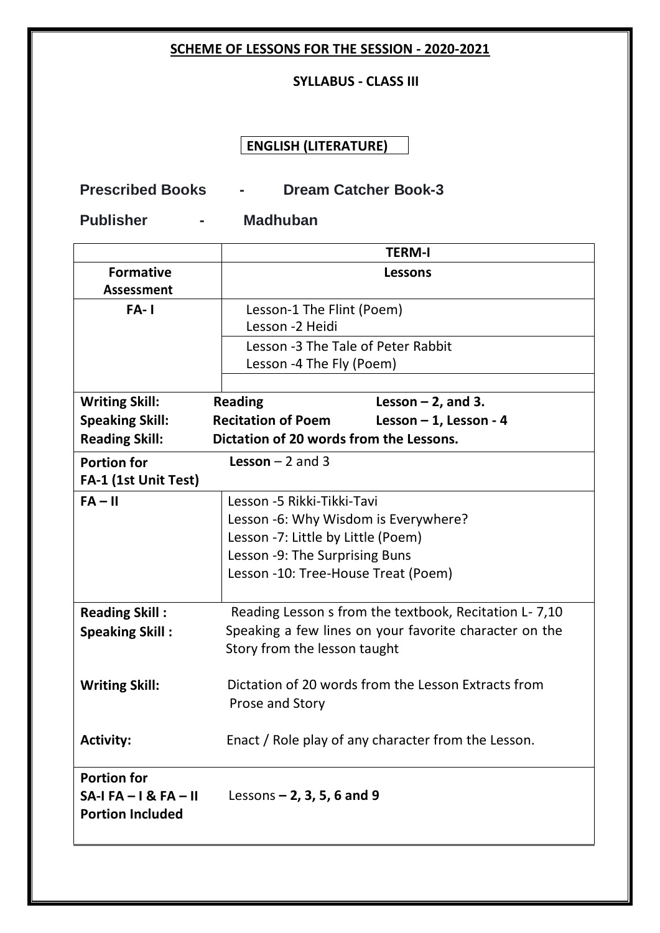### **SCHEME OF LESSONS FOR THE SESSION - 2020-2021**

### **SYLLABUS - CLASS III**

# **ENGLISH (LITERATURE)**

# **Prescribed Books - Dream Catcher Book-3**

**Publisher - Madhuban**

|                         | <b>TERM-I</b>                                          |                          |  |  |
|-------------------------|--------------------------------------------------------|--------------------------|--|--|
| <b>Formative</b>        | <b>Lessons</b>                                         |                          |  |  |
| <b>Assessment</b>       |                                                        |                          |  |  |
| $FA-1$                  | Lesson-1 The Flint (Poem)                              |                          |  |  |
|                         | Lesson -2 Heidi                                        |                          |  |  |
|                         | Lesson -3 The Tale of Peter Rabbit                     |                          |  |  |
|                         | Lesson -4 The Fly (Poem)                               |                          |  |  |
|                         |                                                        |                          |  |  |
| <b>Writing Skill:</b>   | <b>Reading</b>                                         | Lesson $-2$ , and 3.     |  |  |
| <b>Speaking Skill:</b>  | <b>Recitation of Poem</b>                              | Lesson $-1$ , Lesson - 4 |  |  |
| <b>Reading Skill:</b>   | Dictation of 20 words from the Lessons.                |                          |  |  |
| <b>Portion for</b>      | <b>Lesson</b> $-2$ and 3                               |                          |  |  |
| FA-1 (1st Unit Test)    |                                                        |                          |  |  |
| $FA - II$               | Lesson -5 Rikki-Tikki-Tavi                             |                          |  |  |
|                         | Lesson -6: Why Wisdom is Everywhere?                   |                          |  |  |
|                         | Lesson -7: Little by Little (Poem)                     |                          |  |  |
|                         | Lesson -9: The Surprising Buns                         |                          |  |  |
|                         | Lesson -10: Tree-House Treat (Poem)                    |                          |  |  |
|                         |                                                        |                          |  |  |
| <b>Reading Skill:</b>   | Reading Lesson s from the textbook, Recitation L- 7,10 |                          |  |  |
| <b>Speaking Skill:</b>  | Speaking a few lines on your favorite character on the |                          |  |  |
|                         | Story from the lesson taught                           |                          |  |  |
|                         |                                                        |                          |  |  |
| <b>Writing Skill:</b>   | Dictation of 20 words from the Lesson Extracts from    |                          |  |  |
|                         | Prose and Story                                        |                          |  |  |
|                         |                                                        |                          |  |  |
| <b>Activity:</b>        | Enact / Role play of any character from the Lesson.    |                          |  |  |
| <b>Portion for</b>      |                                                        |                          |  |  |
| $SA-IFA-I & FA-II$      | Lessons $- 2$ , 3, 5, 6 and 9                          |                          |  |  |
| <b>Portion Included</b> |                                                        |                          |  |  |
|                         |                                                        |                          |  |  |
|                         |                                                        |                          |  |  |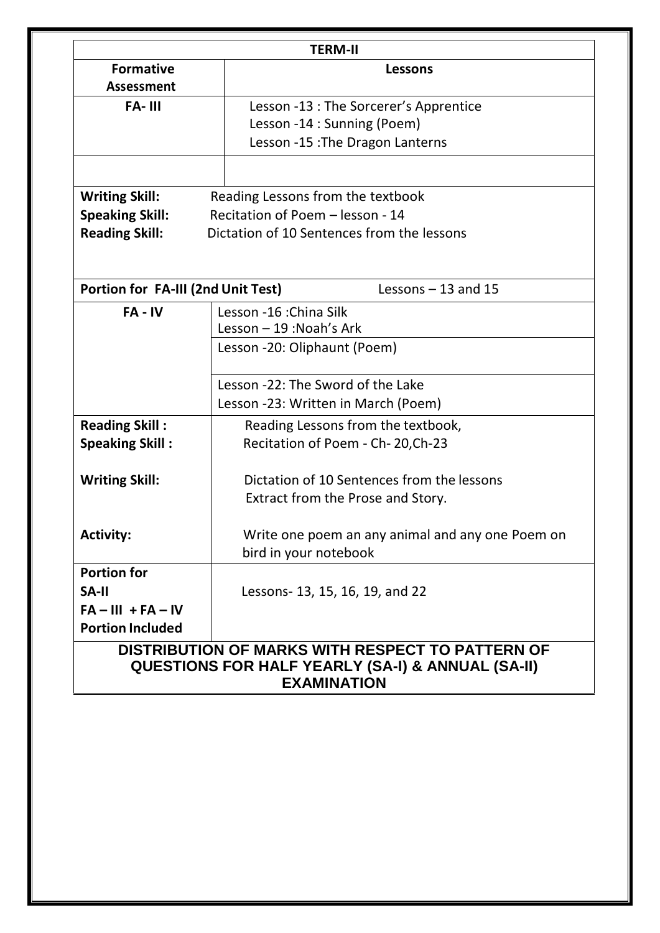| <b>TERM-II</b>                                                                                                   |                                                  |  |  |
|------------------------------------------------------------------------------------------------------------------|--------------------------------------------------|--|--|
| <b>Formative</b>                                                                                                 | Lessons                                          |  |  |
| <b>Assessment</b>                                                                                                |                                                  |  |  |
| <b>FA-III</b>                                                                                                    | Lesson -13 : The Sorcerer's Apprentice           |  |  |
|                                                                                                                  | Lesson -14 : Sunning (Poem)                      |  |  |
|                                                                                                                  | Lesson -15 : The Dragon Lanterns                 |  |  |
|                                                                                                                  |                                                  |  |  |
| <b>Writing Skill:</b>                                                                                            | Reading Lessons from the textbook                |  |  |
| <b>Speaking Skill:</b>                                                                                           | Recitation of Poem - lesson - 14                 |  |  |
| <b>Reading Skill:</b>                                                                                            | Dictation of 10 Sentences from the lessons       |  |  |
|                                                                                                                  |                                                  |  |  |
| <b>Portion for FA-III (2nd Unit Test)</b>                                                                        | Lessons $-13$ and 15                             |  |  |
| $FA - IV$                                                                                                        | Lesson -16 : China Silk                          |  |  |
|                                                                                                                  | Lesson - 19 : Noah's Ark                         |  |  |
|                                                                                                                  | Lesson -20: Oliphaunt (Poem)                     |  |  |
|                                                                                                                  |                                                  |  |  |
|                                                                                                                  | Lesson -22: The Sword of the Lake                |  |  |
|                                                                                                                  | Lesson -23: Written in March (Poem)              |  |  |
| <b>Reading Skill:</b>                                                                                            | Reading Lessons from the textbook,               |  |  |
| <b>Speaking Skill:</b>                                                                                           | Recitation of Poem - Ch-20, Ch-23                |  |  |
|                                                                                                                  |                                                  |  |  |
| <b>Writing Skill:</b>                                                                                            | Dictation of 10 Sentences from the lessons       |  |  |
|                                                                                                                  | Extract from the Prose and Story.                |  |  |
|                                                                                                                  |                                                  |  |  |
| <b>Activity:</b>                                                                                                 | Write one poem an any animal and any one Poem on |  |  |
|                                                                                                                  | bird in your notebook                            |  |  |
| <b>Portion for</b>                                                                                               |                                                  |  |  |
| <b>SA-II</b>                                                                                                     |                                                  |  |  |
| $FA - III + FA - IV$                                                                                             | Lessons- 13, 15, 16, 19, and 22                  |  |  |
| <b>Portion Included</b>                                                                                          |                                                  |  |  |
|                                                                                                                  |                                                  |  |  |
| DISTRIBUTION OF MARKS WITH RESPECT TO PATTERN OF<br><b>QUESTIONS FOR HALF YEARLY (SA-I) &amp; ANNUAL (SA-II)</b> |                                                  |  |  |
|                                                                                                                  | <b>EXAMINATION</b>                               |  |  |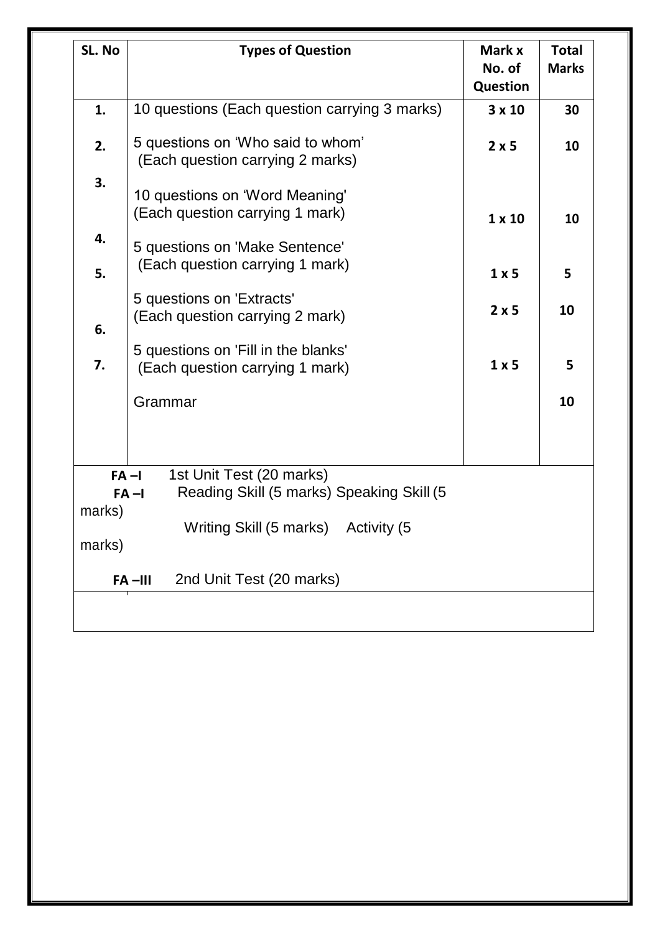| SL. No   | <b>Types of Question</b>                                                                      | Mark x<br>No. of<br><b>Question</b> | <b>Total</b><br><b>Marks</b> |
|----------|-----------------------------------------------------------------------------------------------|-------------------------------------|------------------------------|
| 1.       | 10 questions (Each question carrying 3 marks)                                                 | $3 \times 10$                       | 30                           |
| 2.       | 5 questions on 'Who said to whom'<br>(Each question carrying 2 marks)                         | 2x5                                 | 10                           |
| 3.       | 10 questions on 'Word Meaning'<br>(Each question carrying 1 mark)                             | $1 \times 10$                       | 10                           |
| 4.       | 5 questions on 'Make Sentence'<br>(Each question carrying 1 mark)                             |                                     |                              |
| 5.       | 5 questions on 'Extracts'<br>(Each question carrying 2 mark)                                  | $1 \times 5$<br>2x5                 | 5<br>10                      |
| 6.<br>7. | 5 questions on 'Fill in the blanks'<br>(Each question carrying 1 mark)                        | $1 \times 5$                        | 5                            |
| Grammar  |                                                                                               |                                     | 10                           |
|          |                                                                                               |                                     |                              |
| marks)   | 1st Unit Test (20 marks)<br>$FA - I$<br>Reading Skill (5 marks) Speaking Skill (5<br>$FA - I$ |                                     |                              |
| marks)   | Writing Skill (5 marks) Activity (5                                                           |                                     |                              |
|          | 2nd Unit Test (20 marks)<br>$FA$ -III                                                         |                                     |                              |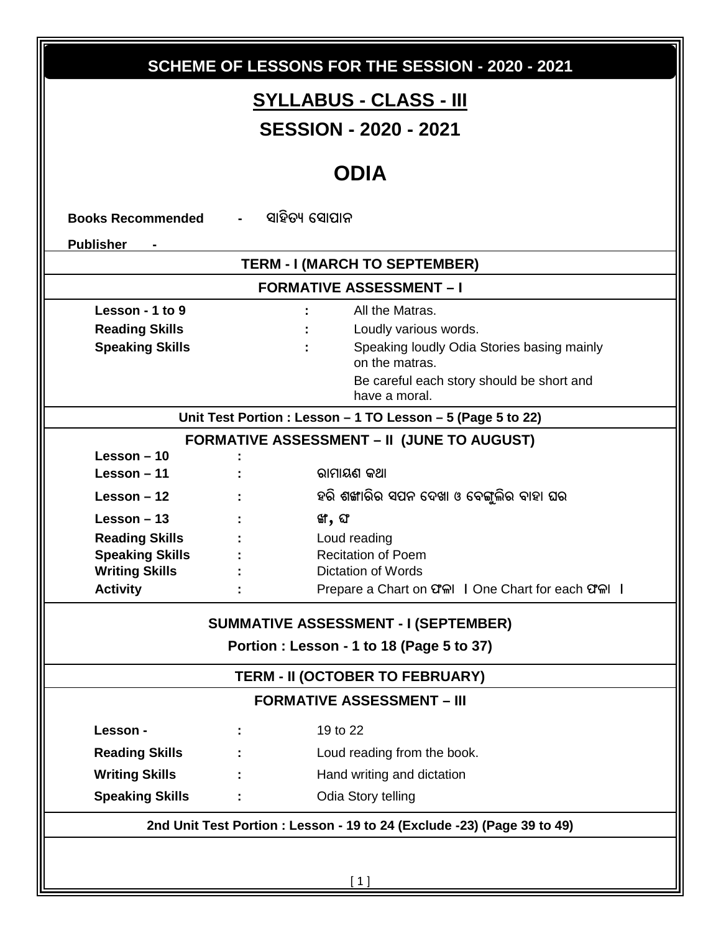| SCHEME OF LESSONS FOR THE SESSION - 2020 - 2021 |                                                                         |                                                                                          |  |  |  |
|-------------------------------------------------|-------------------------------------------------------------------------|------------------------------------------------------------------------------------------|--|--|--|
| <u>SYLLABUS - CLASS - III</u>                   |                                                                         |                                                                                          |  |  |  |
|                                                 | <b>SESSION - 2020 - 2021</b>                                            |                                                                                          |  |  |  |
|                                                 |                                                                         |                                                                                          |  |  |  |
|                                                 |                                                                         | <b>ODIA</b>                                                                              |  |  |  |
| <b>Books Recommended</b>                        | ସାହିତ୍ୟ ସୋପାନ                                                           |                                                                                          |  |  |  |
| <b>Publisher</b>                                |                                                                         |                                                                                          |  |  |  |
|                                                 |                                                                         | TERM - I (MARCH TO SEPTEMBER)                                                            |  |  |  |
|                                                 |                                                                         | <b>FORMATIVE ASSESSMENT - I</b>                                                          |  |  |  |
| Lesson - 1 to 9                                 |                                                                         | All the Matras.                                                                          |  |  |  |
| <b>Reading Skills</b>                           |                                                                         | Loudly various words.                                                                    |  |  |  |
| <b>Speaking Skills</b>                          |                                                                         | Speaking loudly Odia Stories basing mainly<br>on the matras.                             |  |  |  |
|                                                 |                                                                         | Be careful each story should be short and<br>have a moral.                               |  |  |  |
|                                                 |                                                                         | Unit Test Portion : Lesson - 1 TO Lesson - 5 (Page 5 to 22)                              |  |  |  |
|                                                 |                                                                         | <b>FORMATIVE ASSESSMENT - II (JUNE TO AUGUST)</b>                                        |  |  |  |
| Lesson $-10$                                    |                                                                         |                                                                                          |  |  |  |
| Lesson $-11$                                    |                                                                         | ରାମାୟଣ କଥା                                                                               |  |  |  |
| Lesson $-12$                                    |                                                                         | ହରି ଶଙ୍ଖାରିର ସପନ ଦେଖା ଓ ବେଙ୍ଗୁଲିର ବାହା ଘର                                                |  |  |  |
| Lesson $-13$                                    |                                                                         | ଙ୍ଗ, ଘ $\sigma$                                                                          |  |  |  |
| <b>Reading Skills</b>                           |                                                                         | Loud reading                                                                             |  |  |  |
| <b>Speaking Skills</b><br><b>Writing Skills</b> |                                                                         | <b>Recitation of Poem</b><br>Dictation of Words                                          |  |  |  |
| <b>Activity</b>                                 |                                                                         | Prepare a Chart on CIAI   One Chart for each CIAI                                        |  |  |  |
|                                                 |                                                                         |                                                                                          |  |  |  |
|                                                 |                                                                         | <b>SUMMATIVE ASSESSMENT - I (SEPTEMBER)</b><br>Portion : Lesson - 1 to 18 (Page 5 to 37) |  |  |  |
|                                                 |                                                                         |                                                                                          |  |  |  |
|                                                 |                                                                         | TERM - II (OCTOBER TO FEBRUARY)                                                          |  |  |  |
|                                                 |                                                                         | <b>FORMATIVE ASSESSMENT - III</b>                                                        |  |  |  |
| Lesson -                                        |                                                                         | 19 to 22                                                                                 |  |  |  |
| <b>Reading Skills</b>                           |                                                                         | Loud reading from the book.                                                              |  |  |  |
| <b>Writing Skills</b>                           |                                                                         | Hand writing and dictation                                                               |  |  |  |
| <b>Speaking Skills</b>                          |                                                                         | Odia Story telling                                                                       |  |  |  |
|                                                 | 2nd Unit Test Portion : Lesson - 19 to 24 (Exclude -23) (Page 39 to 49) |                                                                                          |  |  |  |
|                                                 |                                                                         |                                                                                          |  |  |  |
|                                                 | $[1]$                                                                   |                                                                                          |  |  |  |
|                                                 |                                                                         |                                                                                          |  |  |  |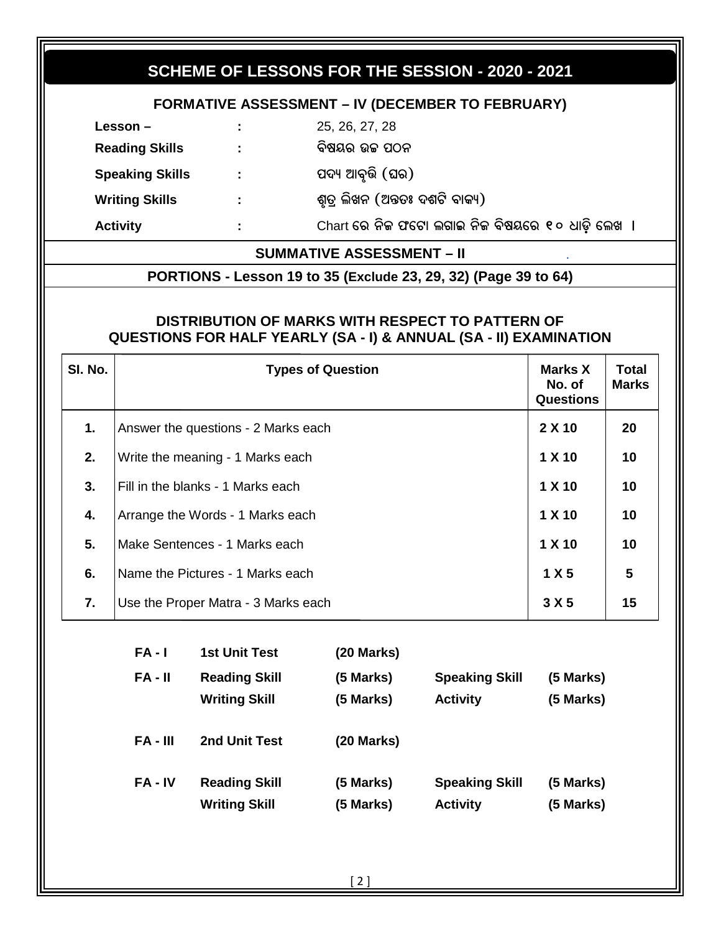#### SCHEME OF LESSONS FOR THE SESSION - 2020 - 2021 **FORMATIVE ASSESSMENT - IV (DECEMBER TO FEBRUARY)** Lesson  $-$ 25, 26, 27, 28 **Reading Skills** ÷. ବିଷୟର ଉଚ୍ଚ ପଠନ ପଦ୍ୟ ଆବୃତ୍ତି (ଘର) **Speaking Skills**  $\ddot{\phantom{a}}$ **Writing Skills** ଶୃତ୍ର ଲିଖନ (ଅନ୍ତତଃ ଦଶଟି ବାକ୍ୟ)  $\mathbb{Z}^+$ **Activity** Chart ରେ ନିଜ ଫଟୋ ଲଗାଇ ନିଜ ବିଷୟରେ ୧୦ ଧାଡ଼ି ଲେଖ । ÷. **SUMMATIVE ASSESSMENT - II** PORTIONS - Lesson 19 to 35 (Exclude 23, 29, 32) (Page 39 to 64) DISTRIBUTION OF MARKS WITH RESPECT TO PATTERN OF **QUESTIONS FOR HALF YEARLY (SA - I) & ANNUAL (SA - II) EXAMINATION** SI. No. **Total Types of Question** Marks X **Marks** No. of **Questions** 2 X 10  $1.$ Answer the questions - 2 Marks each 20  $2.$ Write the meaning - 1 Marks each  $1 X 10$  $10<sup>1</sup>$ 3. Fill in the blanks - 1 Marks each 1 X 10  $10<sup>1</sup>$  $1 X 10$  $4.$ Arrange the Words - 1 Marks each  $10<sup>1</sup>$ 5. Make Sentences - 1 Marks each  $1 X 10$  $10<sup>1</sup>$ 6. Name the Pictures - 1 Marks each  $1 X 5$ 5  $\overline{7}$ .  $3 X 5$  $15$ Use the Proper Matra - 3 Marks each  $FA - I$ **1st Unit Test**  $(20$  Marks)  $FA - II$ **Reading Skill** (5 Marks) **Speaking Skill** (5 Marks) (5 Marks) **Writing Skill** (5 Marks) **Activity**  $FA - III$ 2nd Unit Test  $(20$  Marks)  $FA - IV$ **Reading Skill** (5 Marks) **Speaking Skill** (5 Marks) (5 Marks) **Writing Skill** (5 Marks) **Activity**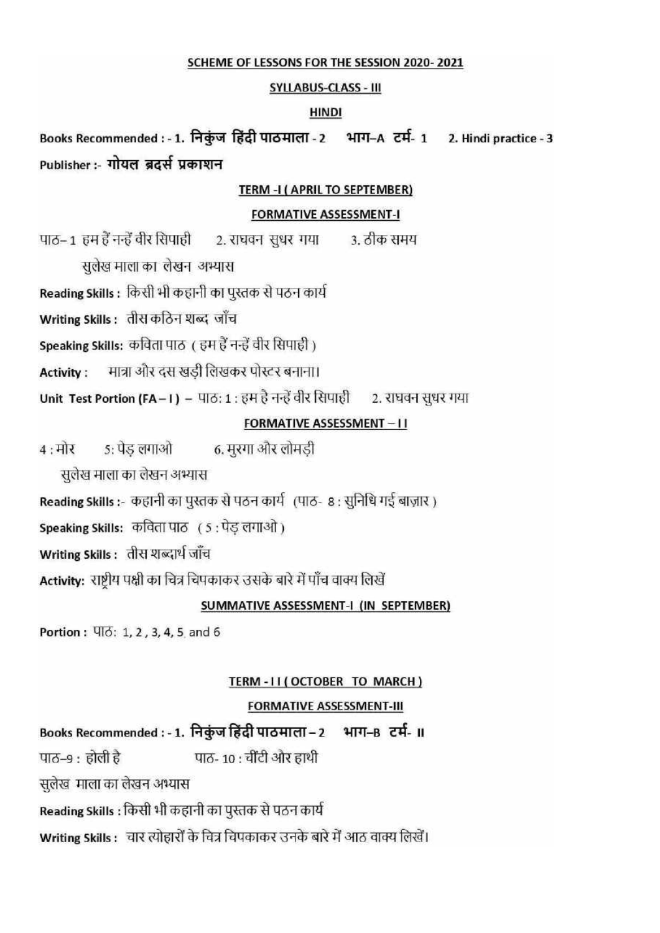#### SCHEME OF LESSONS FOR THE SESSION 2020-2021

#### **SYLLABUS-CLASS - III**

#### **HINDI**

Books Recommended : - 1. निकुंज हिंदी पाठमाला - 2 भाग-A टर्म- 1 2. Hindi practice - 3 Publisher :- गोयल ब्रदर्स प्रकाशन

#### TERM -I (APRIL TO SEPTEMBER)

#### **FORMATIVE ASSESSMENT-I**

पाठ-1 हम हैं नन्हें वीर सिपाही 2. राघवन सधर गया 3. ठीक समय

सलेख माला का लेखन अभ्यास

Reading Skills : किसी भी कहानी का पुस्तक से पठन कार्य

Writing Skills: तीस कठिन शब्द जाँच

Speaking Skills: कविता पाठ ( हम हैं नन्हें वीर सिपाही )

मात्रा और दस खड़ी लिखकर पोस्टर बनाना। **Activity:** 

Unit Test Portion (FA-1) - पाठ: 1: हम है नन्हें वीर सिपाही 2. राघवन सुधर गया

#### **FORMATIVE ASSESSMENT-11**

5: पेड़ लगाओ 6. मुरगा और लोमडी  $4:$ मोर

सुलेख माला का लेखन अभ्यास

Reading Skills :- कहानी का पुस्तक से पठन कार्य (पाठ- 8 : सुनिधि गई बाज़ार)

Speaking Skills: कविता पाठ (5: पेड लगाओ)

Writing Skills: तीस शब्दार्थ जाँच

Activity: राष्ट्रीय पक्षी का चित्र चिपकाकर उसके बारे में पाँच वाक्य लिखें

#### SUMMATIVE ASSESSMENT-I (IN SEPTEMBER)

Portion: VIO: 1, 2, 3, 4, 5 and 6

#### TERM-II (OCTOBER TO MARCH)

#### **FORMATIVE ASSESSMENT-III**

Books Recommended : - 1. निकुंज हिंदी पाठमाला - 2 भाग-B टर्म- II पाठ- 10 : चींटी और हाथी पाठ–९ : होली है सलेख माला का लेखन अभ्यास

Reading Skills : किसी भी कहानी का पुस्तक से पठन कार्य

Writing Skills : वार त्योहारों के चित्र चिपकाकर उनके बारे में आठ वाक्य लिखें।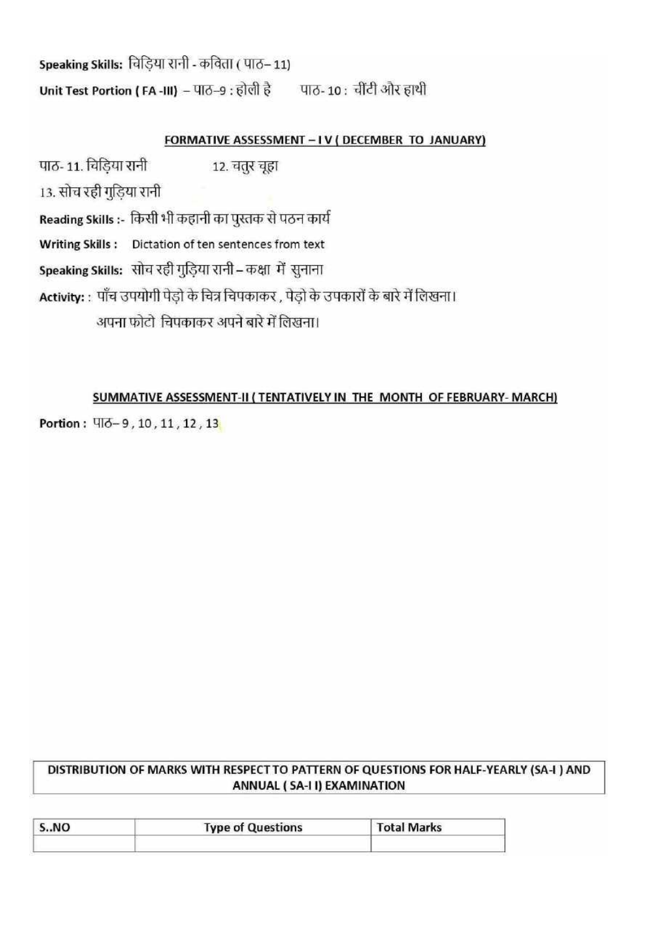Speaking Skills: चिड़िया रानी - कविता ( पाठ-11) Unit Test Portion (FA-III) - पाठ-9 : होली है पाठ-10: चींटी और हाथी

### FORMATIVE ASSESSMENT - IV ( DECEMBER TO JANUARY)

पाठ-11. विडिया रानी 12. चंतर चूहा 13. सोच रही गुडिया रानी Reading Skills :- किसी भी कहानी का पुस्तक से पठन कार्य Writing Skills: Dictation of ten sentences from text Speaking Skills: सोच रही गुड़िया रानी - कक्षा में सुनाना Activity: : पाँच उपयोगी पेड़ो के चित्र चिपकाकर , पेड़ो के उपकारों के बारे में लिखना। अपना फोटो चिपकाकर अपने बारे में लिखना।

#### SUMMATIVE ASSESSMENT-II (TENTATIVELY IN THE MONTH OF FEBRUARY- MARCH)

Portion: 47-9, 10, 11, 12, 13

### DISTRIBUTION OF MARKS WITH RESPECT TO PATTERN OF QUESTIONS FOR HALF-YEARLY (SA-I ) AND ANNUAL (SA-II) EXAMINATION

| S.MO | <b>Type of Questions</b> | <b>Total Marks</b> |  |
|------|--------------------------|--------------------|--|
|      |                          |                    |  |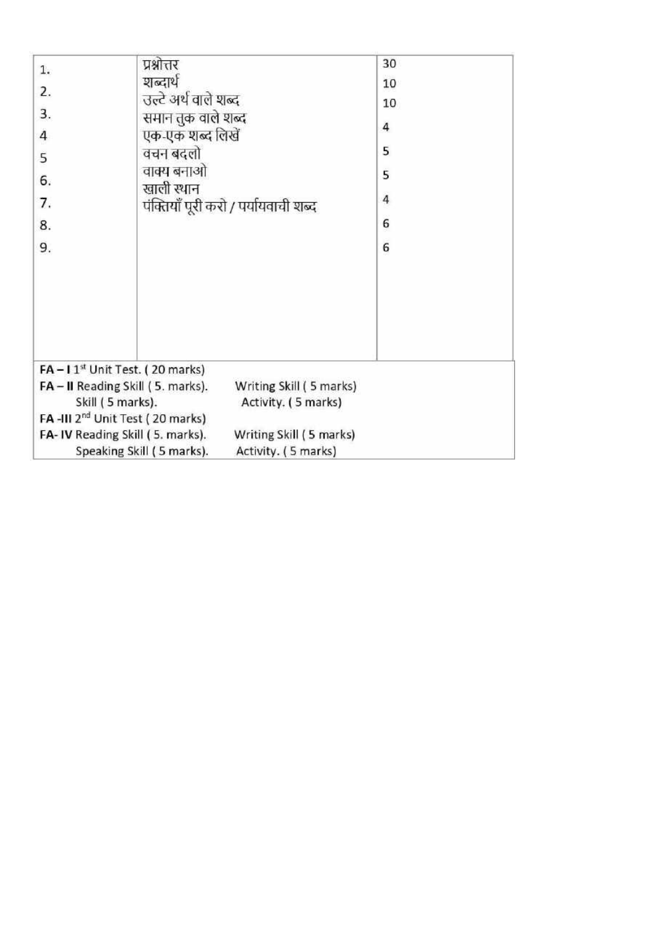| 1.<br>2.<br>3.<br>$\overline{a}$<br>5<br>6.<br>7.<br>8.<br>9.                            | प्रश्नोत्तर<br>शब्दार्थ<br>उल्टे अर्थ वाले शब्द<br>समान तक वाले शब्द<br>एक-एक शब्द लिखें<br>वचन बदलो<br>वाक्य बनाओ<br>खाली स्थान | पंक्तियाँ पूरी करो / पर्यायवाची शब्द           | 30<br>10<br>10<br>4<br>5<br>5<br>$\overline{4}$<br>6<br>6 |  |
|------------------------------------------------------------------------------------------|----------------------------------------------------------------------------------------------------------------------------------|------------------------------------------------|-----------------------------------------------------------|--|
| $FA - 11st$ Unit Test. (20 marks)<br>FA-II Reading Skill (5. marks).<br>Skill (5 marks). |                                                                                                                                  | Writing Skill (5 marks)<br>Activity. (5 marks) |                                                           |  |
| FA-III 2 <sup>nd</sup> Unit Test (20 marks)                                              |                                                                                                                                  |                                                |                                                           |  |
| FA-IV Reading Skill (5. marks).                                                          | Speaking Skill (5 marks).                                                                                                        | Writing Skill (5 marks)<br>Activity. (5 marks) |                                                           |  |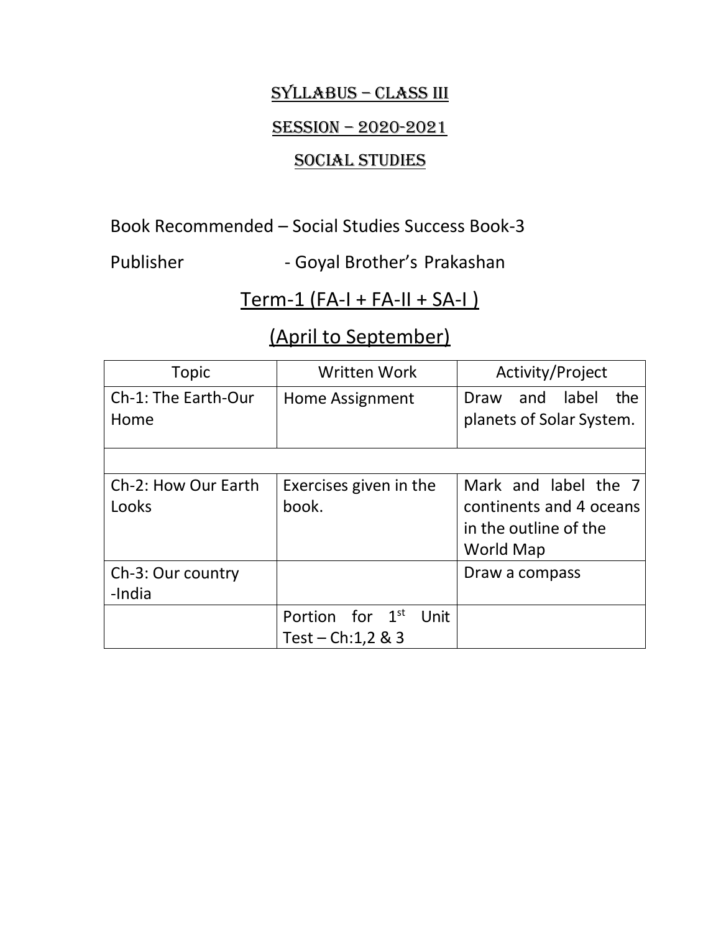# SyllabuS – ClaSS III

# SESSION - 2020-2021

# SOCIAL STUDIES

Book Recommended – Social Studies Success Book-3

Publisher - Goyal Brother's Prakashan

# Term-1 (FA-I + FA-II + SA-I )

# (April to September)

| <b>Topic</b>                 | <b>Written Work</b>                                        | Activity/Project                                                                      |
|------------------------------|------------------------------------------------------------|---------------------------------------------------------------------------------------|
| Ch-1: The Earth-Our<br>Home  | Home Assignment                                            | label<br>and<br>the<br>Draw<br>planets of Solar System.                               |
|                              |                                                            |                                                                                       |
| Ch-2: How Our Earth<br>Looks | Exercises given in the<br>book.                            | Mark and label the 7<br>continents and 4 oceans<br>in the outline of the<br>World Map |
| Ch-3: Our country<br>-India  |                                                            | Draw a compass                                                                        |
|                              | Portion for 1 <sup>st</sup><br>Unit<br>Test – Ch: 1, 2 & 3 |                                                                                       |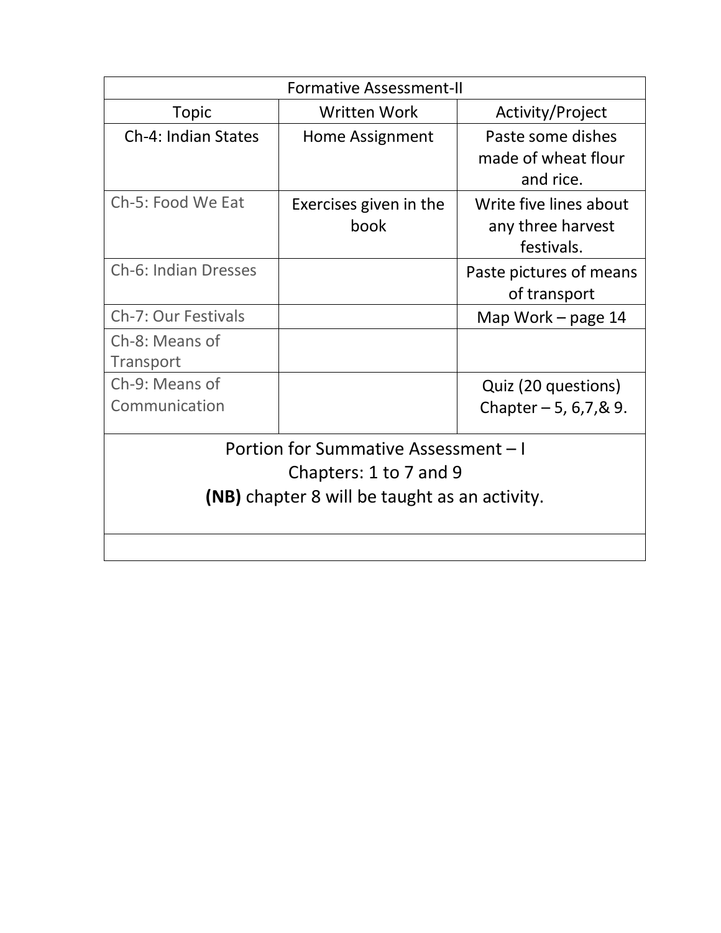| <b>Formative Assessment-II</b>                                                                                         |                                |                                                           |  |  |
|------------------------------------------------------------------------------------------------------------------------|--------------------------------|-----------------------------------------------------------|--|--|
| <b>Topic</b>                                                                                                           | <b>Written Work</b>            | Activity/Project                                          |  |  |
| Ch-4: Indian States                                                                                                    | Home Assignment                | Paste some dishes<br>made of wheat flour<br>and rice.     |  |  |
| Ch-5: Food We Eat                                                                                                      | Exercises given in the<br>book | Write five lines about<br>any three harvest<br>festivals. |  |  |
| <b>Ch-6: Indian Dresses</b>                                                                                            |                                | Paste pictures of means<br>of transport                   |  |  |
| Ch-7: Our Festivals                                                                                                    |                                | Map Work $-$ page 14                                      |  |  |
| Ch-8: Means of<br>Transport                                                                                            |                                |                                                           |  |  |
| Ch-9: Means of                                                                                                         |                                | Quiz (20 questions)                                       |  |  |
| Communication                                                                                                          |                                | Chapter $-5$ , 6, 7, & 9.                                 |  |  |
| Portion for Summative Assessment - I<br>Chapters: 1 to 7 and 9<br><b>(NB)</b> chapter 8 will be taught as an activity. |                                |                                                           |  |  |
|                                                                                                                        |                                |                                                           |  |  |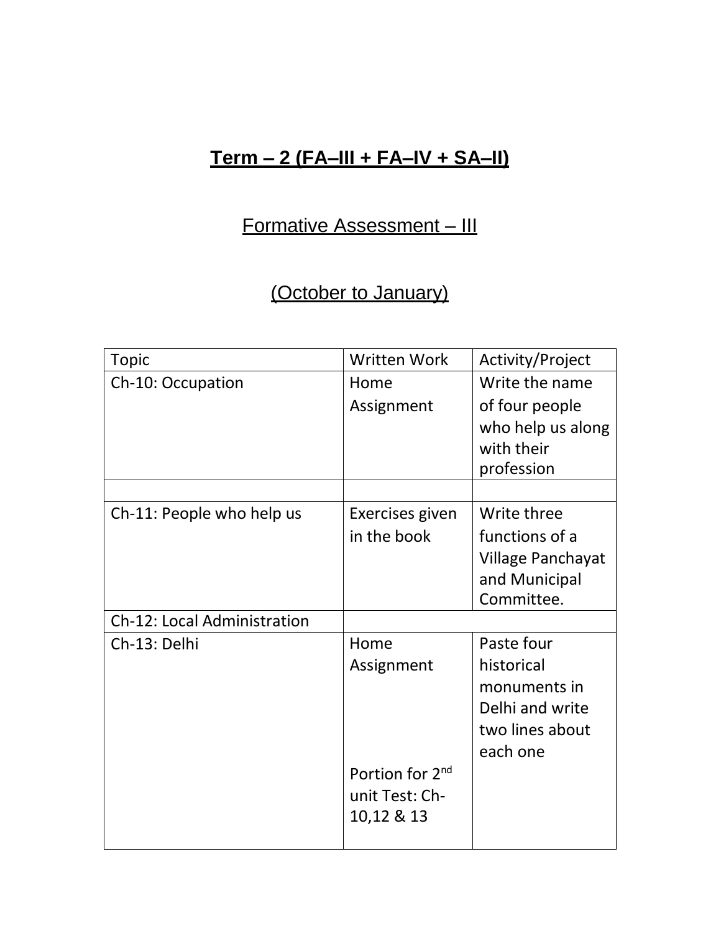# **Term – 2 (FA–III + FA–IV + SA–II)**

# Formative Assessment – III

# (October to January)

| <b>Topic</b>                       | <b>Written Work</b>         | Activity/Project         |
|------------------------------------|-----------------------------|--------------------------|
| Ch-10: Occupation                  | Home                        | Write the name           |
|                                    | Assignment                  | of four people           |
|                                    |                             | who help us along        |
|                                    |                             | with their               |
|                                    |                             | profession               |
|                                    |                             |                          |
| Ch-11: People who help us          | Exercises given             | Write three              |
|                                    | in the book                 | functions of a           |
|                                    |                             | <b>Village Panchayat</b> |
|                                    |                             | and Municipal            |
|                                    |                             | Committee.               |
| <b>Ch-12: Local Administration</b> |                             |                          |
| Ch-13: Delhi                       | Home                        | Paste four               |
|                                    | Assignment                  | historical               |
|                                    |                             | monuments in             |
|                                    |                             | Delhi and write          |
|                                    |                             | two lines about          |
|                                    |                             | each one                 |
|                                    | Portion for 2 <sup>nd</sup> |                          |
|                                    | unit Test: Ch-              |                          |
|                                    | 10,12 & 13                  |                          |
|                                    |                             |                          |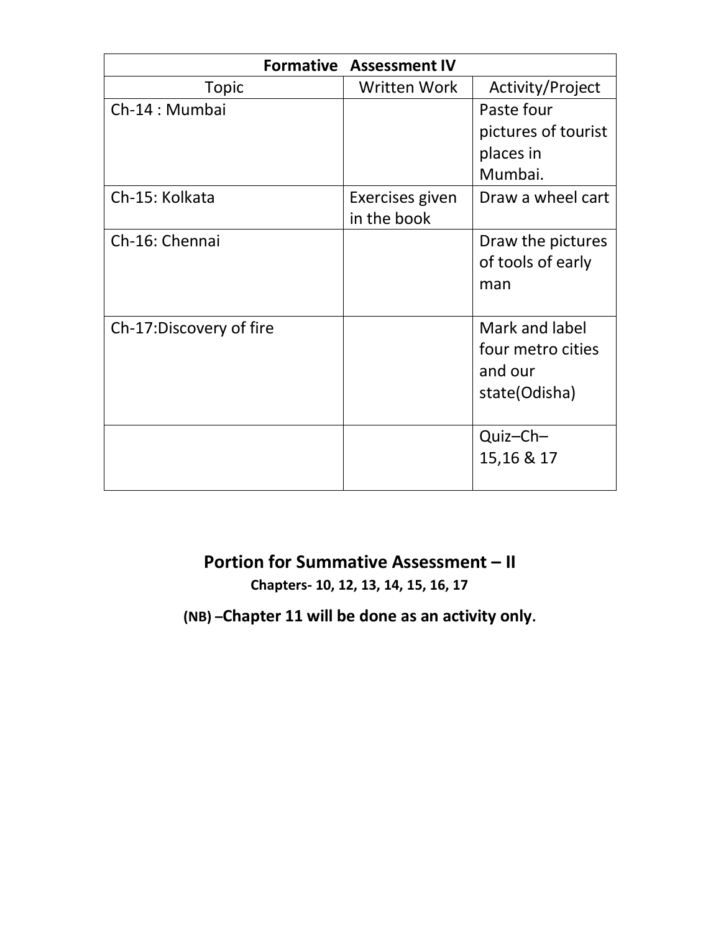| <b>Formative Assessment IV</b> |                                |                                                                 |  |
|--------------------------------|--------------------------------|-----------------------------------------------------------------|--|
| Topic                          | Written Work                   | Activity/Project                                                |  |
| Ch-14 : Mumbai                 |                                | Paste four                                                      |  |
|                                |                                | pictures of tourist                                             |  |
|                                |                                | places in                                                       |  |
|                                |                                | Mumbai.                                                         |  |
| Ch-15: Kolkata                 | Exercises given<br>in the book | Draw a wheel cart                                               |  |
| Ch-16: Chennai                 |                                | Draw the pictures<br>of tools of early<br>man                   |  |
| Ch-17:Discovery of fire        |                                | Mark and label<br>four metro cities<br>and our<br>state(Odisha) |  |
|                                |                                | Quiz-Ch-<br>15,16 & 17                                          |  |

# **Portion for Summative Assessment – II**

**Chapters- 10, 12, 13, 14, 15, 16, 17**

**(NB) –Chapter 11 will be done as an activity only.**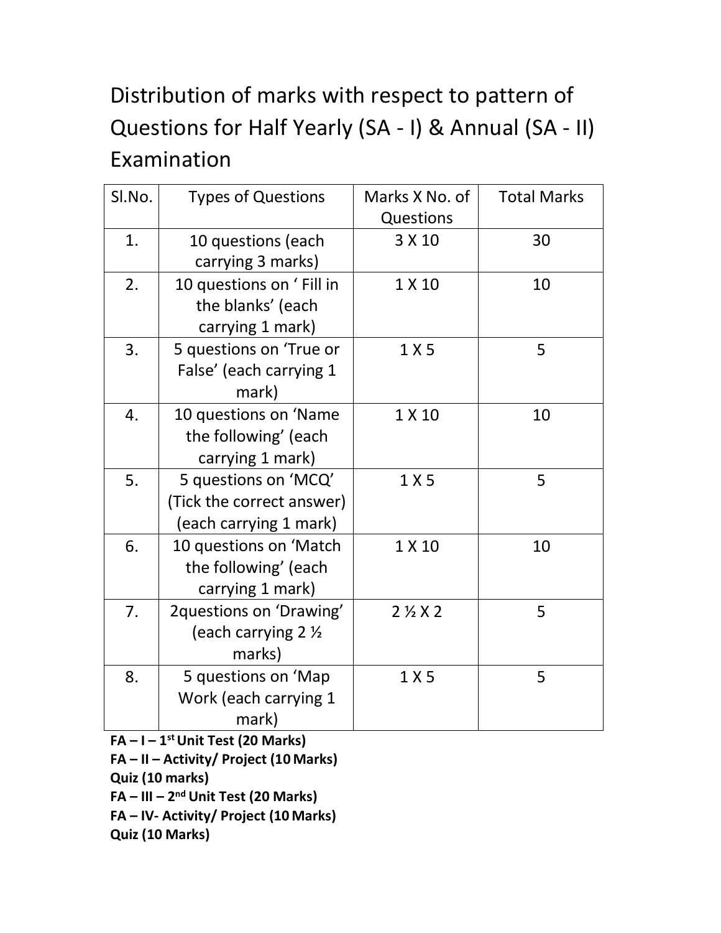# Distribution of marks with respect to pattern of Questions for Half Yearly (SA - I) & Annual (SA - II) Examination

| Sl.No. | <b>Types of Questions</b>                                                   | Marks X No. of<br>Questions | <b>Total Marks</b> |
|--------|-----------------------------------------------------------------------------|-----------------------------|--------------------|
| 1.     | 10 questions (each<br>carrying 3 marks)                                     | 3 X 10                      | 30                 |
| 2.     | 10 questions on 'Fill in<br>the blanks' (each<br>carrying 1 mark)           | 1 X 10                      | 10                 |
| 3.     | 5 questions on 'True or<br>False' (each carrying 1<br>mark)                 | 1 X 5                       | 5                  |
| 4.     | 10 questions on 'Name<br>the following' (each<br>carrying 1 mark)           | 1 X 10                      | 10                 |
| 5.     | 5 questions on 'MCQ'<br>(Tick the correct answer)<br>(each carrying 1 mark) | 1 X 5                       | 5                  |
| 6.     | 10 questions on 'Match<br>the following' (each<br>carrying 1 mark)          | 1 X 10                      | 10                 |
| 7.     | 2questions on 'Drawing'<br>(each carrying 2 1/2<br>marks)                   | $2\frac{1}{2}$ X 2          | 5                  |
| 8.     | 5 questions on 'Map<br>Work (each carrying 1<br>mark)                       | 1 X 5                       | 5                  |

**FA – I – 1 st Unit Test (20 Marks)**

**FA – II – Activity/ Project (10 Marks)** 

**Quiz (10 marks)**

**FA – III – 2 nd Unit Test (20 Marks)** 

**FA – IV- Activity/ Project (10 Marks)** 

**Quiz (10 Marks)**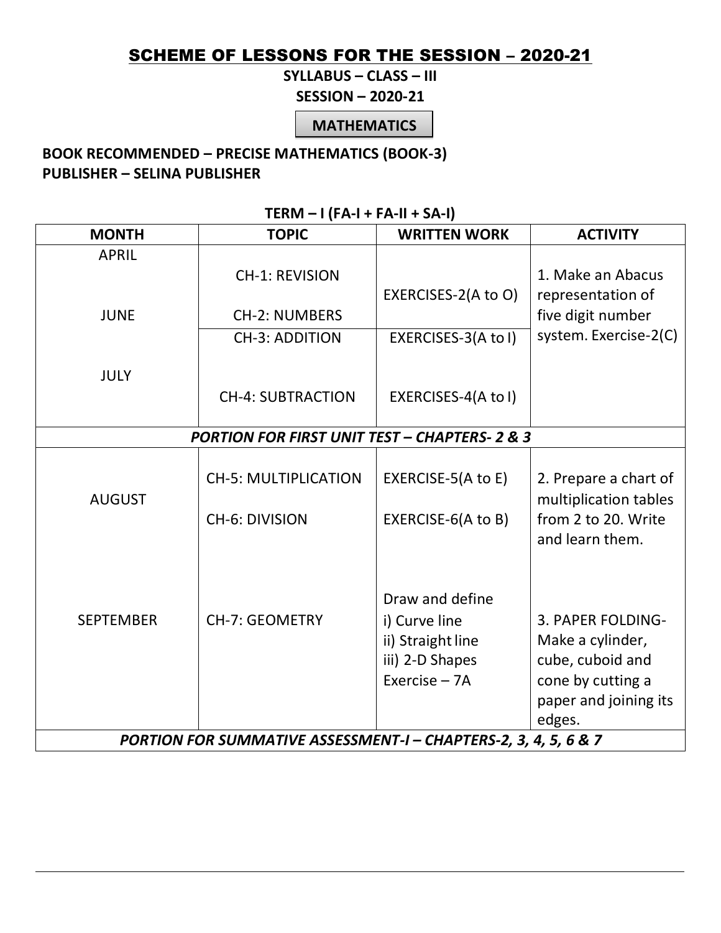# SCHEME OF LESSONS FOR THE SESSION - 2020-21

**SYLLABUS – CLASS – III** 

**SESSION – 2020-21**

**MATHEMATICS**

### **BOOK RECOMMENDED – PRECISE MATHEMATICS (BOOK-3) PUBLISHER – SELINA PUBLISHER**

|  | $TERN - I (FA-I + FA-II + SA-I)$ |  |
|--|----------------------------------|--|
|--|----------------------------------|--|

| <b>MONTH</b>                                                    | <b>TOPIC</b>                                             | <b>WRITTEN WORK</b> | <b>ACTIVITY</b>                        |
|-----------------------------------------------------------------|----------------------------------------------------------|---------------------|----------------------------------------|
| <b>APRIL</b>                                                    |                                                          |                     |                                        |
|                                                                 | <b>CH-1: REVISION</b>                                    |                     | 1. Make an Abacus                      |
|                                                                 |                                                          | EXERCISES-2(A to O) | representation of                      |
| <b>JUNE</b>                                                     | <b>CH-2: NUMBERS</b>                                     |                     | five digit number                      |
|                                                                 | <b>CH-3: ADDITION</b>                                    | EXERCISES-3(A to I) | system. Exercise-2(C)                  |
|                                                                 |                                                          |                     |                                        |
| <b>JULY</b>                                                     |                                                          |                     |                                        |
|                                                                 | <b>CH-4: SUBTRACTION</b>                                 | EXERCISES-4(A to I) |                                        |
|                                                                 |                                                          |                     |                                        |
|                                                                 | <b>PORTION FOR FIRST UNIT TEST - CHAPTERS- 2 &amp; 3</b> |                     |                                        |
|                                                                 |                                                          |                     |                                        |
|                                                                 | <b>CH-5: MULTIPLICATION</b>                              | EXERCISE-5(A to E)  | 2. Prepare a chart of                  |
| <b>AUGUST</b>                                                   |                                                          |                     | multiplication tables                  |
|                                                                 | <b>CH-6: DIVISION</b>                                    | EXERCISE-6(A to B)  | from 2 to 20. Write<br>and learn them. |
|                                                                 |                                                          |                     |                                        |
|                                                                 |                                                          |                     |                                        |
|                                                                 |                                                          | Draw and define     |                                        |
| <b>SEPTEMBER</b>                                                | <b>CH-7: GEOMETRY</b>                                    | i) Curve line       | 3. PAPER FOLDING-                      |
|                                                                 |                                                          | ii) Straight line   | Make a cylinder,                       |
|                                                                 |                                                          | iii) 2-D Shapes     | cube, cuboid and                       |
|                                                                 |                                                          | Exercise $- 7A$     | cone by cutting a                      |
|                                                                 |                                                          |                     | paper and joining its                  |
|                                                                 |                                                          |                     | edges.                                 |
| PORTION FOR SUMMATIVE ASSESSMENT-I - CHAPTERS-2, 3, 4, 5, 6 & 7 |                                                          |                     |                                        |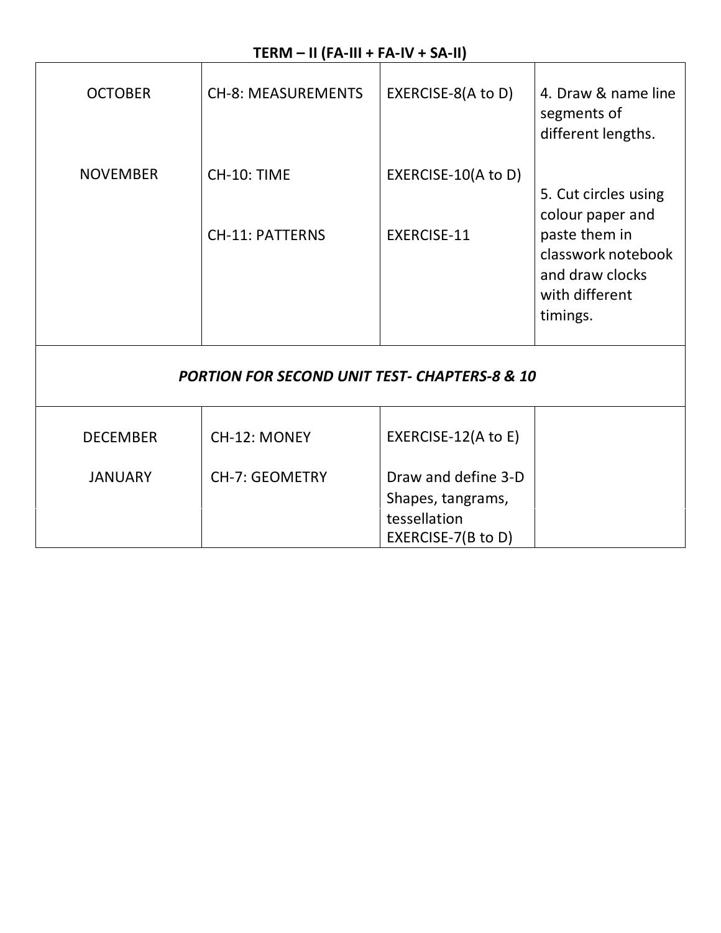# **TERM – II (FA-III + FA-IV + SA-II)**

| <b>OCTOBER</b>  | <b>CH-8: MEASUREMENTS</b>                                | EXERCISE-8(A to D)                        | 4. Draw & name line<br>segments of<br>different lengths.            |
|-----------------|----------------------------------------------------------|-------------------------------------------|---------------------------------------------------------------------|
| <b>NOVEMBER</b> | CH-10: TIME<br><b>CH-11: PATTERNS</b>                    | EXERCISE-10(A to D)<br><b>EXERCISE-11</b> | 5. Cut circles using<br>colour paper and<br>paste them in           |
|                 |                                                          |                                           | classwork notebook<br>and draw clocks<br>with different<br>timings. |
|                 | <b>PORTION FOR SECOND UNIT TEST- CHAPTERS-8 &amp; 10</b> |                                           |                                                                     |
| <b>DECEMBER</b> | CH-12: MONEY                                             | EXERCISE-12(A to E)                       |                                                                     |
| <b>JANUARY</b>  | <b>CH-7: GEOMETRY</b>                                    | Draw and define 3-D                       |                                                                     |
|                 |                                                          | Shapes, tangrams,<br>tessellation         |                                                                     |
|                 |                                                          | EXERCISE-7(B to D)                        |                                                                     |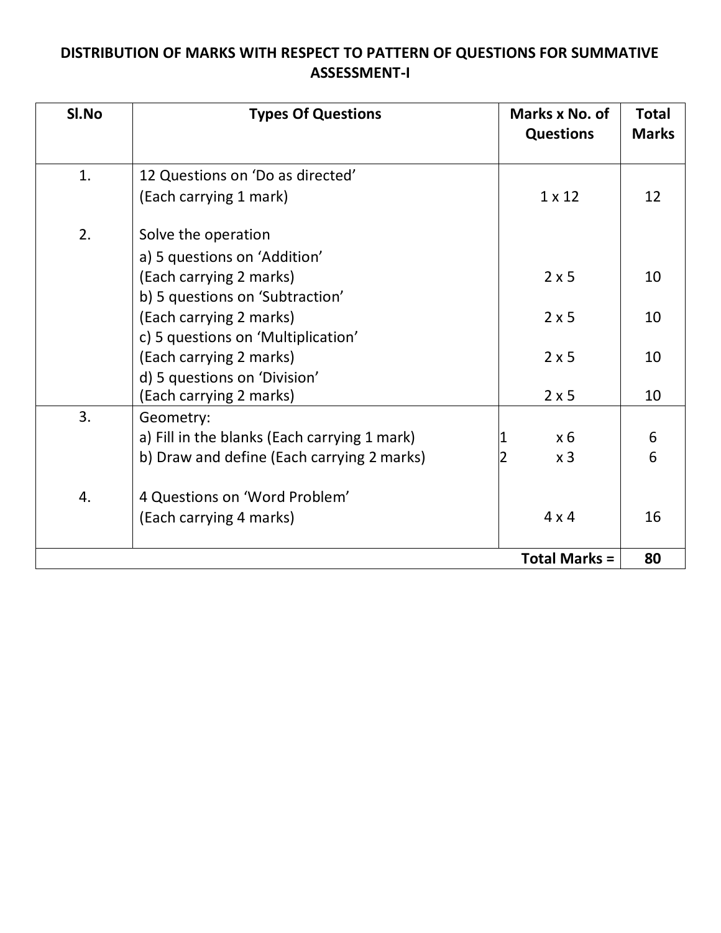# **DISTRIBUTION OF MARKS WITH RESPECT TO PATTERN OF QUESTIONS FOR SUMMATIVE ASSESSMENT-I**

| SI.No | <b>Types Of Questions</b>                    | Marks x No. of<br><b>Questions</b> | <b>Total</b><br><b>Marks</b> |
|-------|----------------------------------------------|------------------------------------|------------------------------|
| 1.    | 12 Questions on 'Do as directed'             |                                    |                              |
|       | (Each carrying 1 mark)                       | $1 \times 12$                      | 12                           |
| 2.    | Solve the operation                          |                                    |                              |
|       | a) 5 questions on 'Addition'                 |                                    |                              |
|       | (Each carrying 2 marks)                      | $2 \times 5$                       | 10                           |
|       | b) 5 questions on 'Subtraction'              |                                    |                              |
|       | (Each carrying 2 marks)                      | $2 \times 5$                       | 10                           |
|       | c) 5 questions on 'Multiplication'           |                                    |                              |
|       | (Each carrying 2 marks)                      | $2 \times 5$                       | 10                           |
|       | d) 5 questions on 'Division'                 |                                    |                              |
|       | (Each carrying 2 marks)                      | $2 \times 5$                       | 10                           |
| 3.    | Geometry:                                    |                                    |                              |
|       | a) Fill in the blanks (Each carrying 1 mark) | $x_6$                              | 6                            |
|       | b) Draw and define (Each carrying 2 marks)   | x <sub>3</sub>                     | 6                            |
| 4.    | 4 Questions on 'Word Problem'                |                                    |                              |
|       | (Each carrying 4 marks)                      | $4 \times 4$                       | 16                           |
|       |                                              | <b>Total Marks =</b>               | 80                           |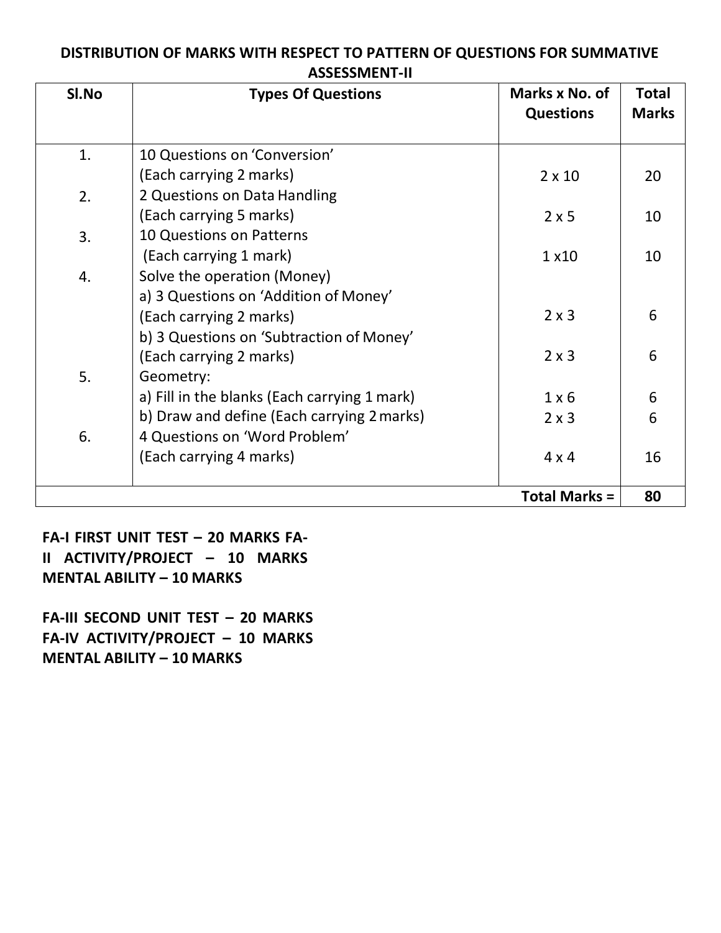### **DISTRIBUTION OF MARKS WITH RESPECT TO PATTERN OF QUESTIONS FOR SUMMATIVE ASSESSMENT-II**

| SI.No | <b>Types Of Questions</b>                    | Marks x No. of<br><b>Questions</b> | <b>Total</b><br><b>Marks</b> |
|-------|----------------------------------------------|------------------------------------|------------------------------|
| 1.    | 10 Questions on 'Conversion'                 |                                    |                              |
|       | (Each carrying 2 marks)                      | $2 \times 10$                      | 20                           |
| 2.    | 2 Questions on Data Handling                 |                                    |                              |
|       | (Each carrying 5 marks)                      | $2 \times 5$                       | 10                           |
| 3.    | 10 Questions on Patterns                     |                                    |                              |
|       | (Each carrying 1 mark)                       | 1 x 10                             | 10                           |
| 4.    | Solve the operation (Money)                  |                                    |                              |
|       | a) 3 Questions on 'Addition of Money'        |                                    |                              |
|       | (Each carrying 2 marks)                      | $2 \times 3$                       | 6                            |
|       | b) 3 Questions on 'Subtraction of Money'     |                                    |                              |
|       | (Each carrying 2 marks)                      | $2 \times 3$                       | 6                            |
| 5.    | Geometry:                                    |                                    |                              |
|       | a) Fill in the blanks (Each carrying 1 mark) | $1 \times 6$                       | 6                            |
|       | b) Draw and define (Each carrying 2 marks)   | $2 \times 3$                       | 6                            |
| 6.    | 4 Questions on 'Word Problem'                |                                    |                              |
|       | (Each carrying 4 marks)                      | $4 \times 4$                       | 16                           |
|       |                                              | <b>Total Marks =</b>               | 80                           |

**FA-I FIRST UNIT TEST – 20 MARKS FA-II ACTIVITY/PROJECT – 10 MARKS MENTAL ABILITY – 10 MARKS**

**FA-III SECOND UNIT TEST – 20 MARKS FA-IV ACTIVITY/PROJECT – 10 MARKS MENTAL ABILITY – 10 MARKS**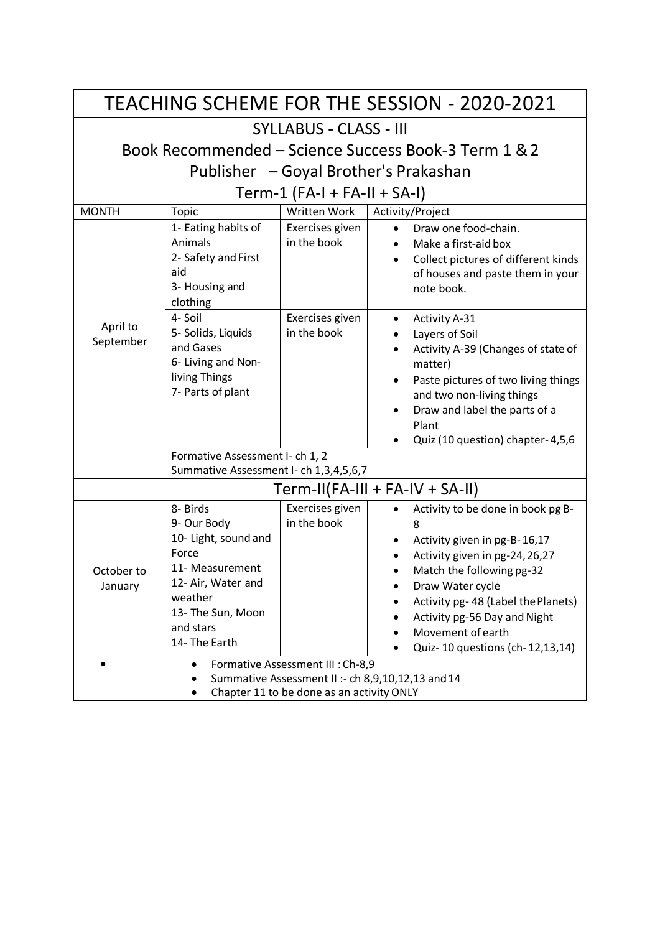|                       | <b>TEACHING SCHEME FOR THE SESSION - 2020-2021</b>                                                                                                              |                                |                                                                                                                                                                                                                                                                                                         |  |
|-----------------------|-----------------------------------------------------------------------------------------------------------------------------------------------------------------|--------------------------------|---------------------------------------------------------------------------------------------------------------------------------------------------------------------------------------------------------------------------------------------------------------------------------------------------------|--|
|                       | <b>SYLLABUS - CLASS - III</b>                                                                                                                                   |                                |                                                                                                                                                                                                                                                                                                         |  |
|                       |                                                                                                                                                                 |                                | Book Recommended - Science Success Book-3 Term 1 & 2                                                                                                                                                                                                                                                    |  |
|                       |                                                                                                                                                                 |                                | Publisher - Goyal Brother's Prakashan                                                                                                                                                                                                                                                                   |  |
|                       |                                                                                                                                                                 | Term-1 $(FA-I + FA-II + SA-I)$ |                                                                                                                                                                                                                                                                                                         |  |
| <b>MONTH</b>          | Topic                                                                                                                                                           | <b>Written Work</b>            | Activity/Project                                                                                                                                                                                                                                                                                        |  |
|                       | 1- Eating habits of<br>Animals<br>2- Safety and First<br>aid<br>3- Housing and<br>clothing                                                                      | Exercises given<br>in the book | Draw one food-chain.<br>$\bullet$<br>Make a first-aid box<br>Collect pictures of different kinds<br>of houses and paste them in your<br>note book.                                                                                                                                                      |  |
| April to<br>September | 4- Soil<br>5- Solids, Liquids<br>and Gases<br>6- Living and Non-<br>living Things<br>7- Parts of plant                                                          | Exercises given<br>in the book | <b>Activity A-31</b><br>٠<br>Layers of Soil<br>Activity A-39 (Changes of state of<br>matter)<br>Paste pictures of two living things<br>٠<br>and two non-living things<br>Draw and label the parts of a<br>Plant<br>Quiz (10 question) chapter-4,5,6                                                     |  |
|                       | Formative Assessment I- ch 1, 2<br>Summative Assessment I- ch 1,3,4,5,6,7                                                                                       |                                |                                                                                                                                                                                                                                                                                                         |  |
|                       | $Term-II(FA-III + FA-IV + SA-II)$                                                                                                                               |                                |                                                                                                                                                                                                                                                                                                         |  |
| October to<br>January | 8- Birds<br>9- Our Body<br>10- Light, sound and<br>Force<br>11- Measurement<br>12- Air, Water and<br>weather<br>13- The Sun, Moon<br>and stars<br>14- The Earth | Exercises given<br>in the book | Activity to be done in book pg B-<br>8<br>Activity given in pg-B-16,17<br>$\bullet$<br>Activity given in pg-24, 26, 27<br>Match the following pg-32<br>Draw Water cycle<br>Activity pg- 48 (Label the Planets)<br>Activity pg-56 Day and Night<br>Movement of earth<br>Quiz- 10 questions (ch-12,13,14) |  |
|                       | Formative Assessment III : Ch-8,9<br>Summative Assessment II :- ch 8,9,10,12,13 and 14<br>Chapter 11 to be done as an activity ONLY                             |                                |                                                                                                                                                                                                                                                                                                         |  |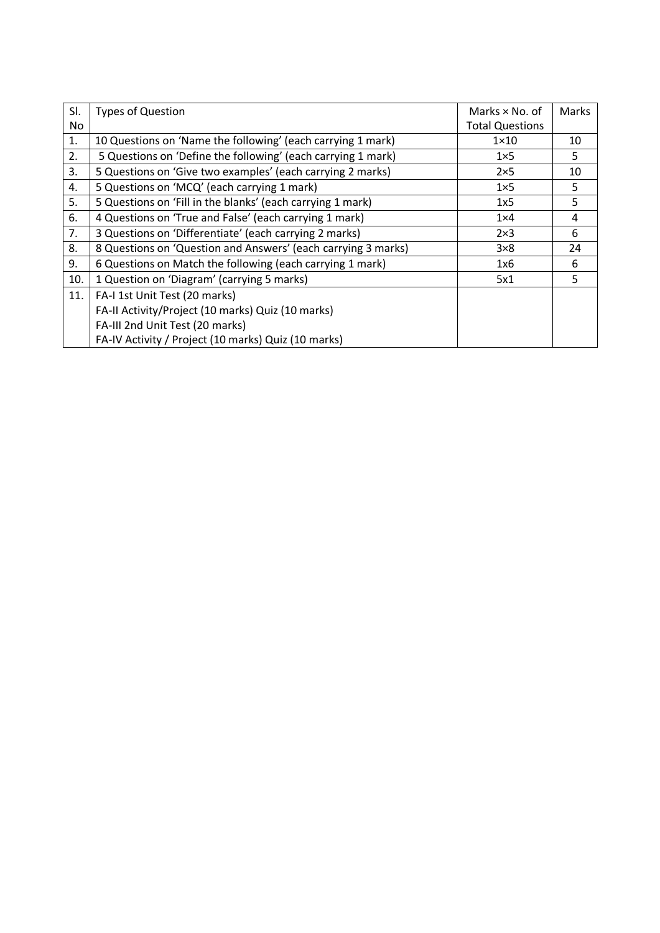| SI. | <b>Types of Question</b>                                      | Marks $\times$ No. of  | Marks |
|-----|---------------------------------------------------------------|------------------------|-------|
| No  |                                                               | <b>Total Questions</b> |       |
| 1.  | 10 Questions on 'Name the following' (each carrying 1 mark)   | $1 \times 10$          | 10    |
| 2.  | 5 Questions on 'Define the following' (each carrying 1 mark)  | $1\times 5$            | 5     |
| 3.  | 5 Questions on 'Give two examples' (each carrying 2 marks)    | $2\times 5$            | 10    |
| 4.  | 5 Questions on 'MCQ' (each carrying 1 mark)                   | $1\times 5$            | 5     |
| 5.  | 5 Questions on 'Fill in the blanks' (each carrying 1 mark)    | 1x5                    | 5     |
| 6.  | 4 Questions on 'True and False' (each carrying 1 mark)        | $1\times4$             | 4     |
| 7.  | 3 Questions on 'Differentiate' (each carrying 2 marks)        | $2\times3$             | 6     |
| 8.  | 8 Questions on 'Question and Answers' (each carrying 3 marks) | $3\times8$             | 24    |
| 9.  | 6 Questions on Match the following (each carrying 1 mark)     | 1x6                    | 6     |
| 10. | 1 Question on 'Diagram' (carrying 5 marks)                    | 5x1                    | 5     |
| 11. | FA-I 1st Unit Test (20 marks)                                 |                        |       |
|     | FA-II Activity/Project (10 marks) Quiz (10 marks)             |                        |       |
|     | FA-III 2nd Unit Test (20 marks)                               |                        |       |
|     | FA-IV Activity / Project (10 marks) Quiz (10 marks)           |                        |       |